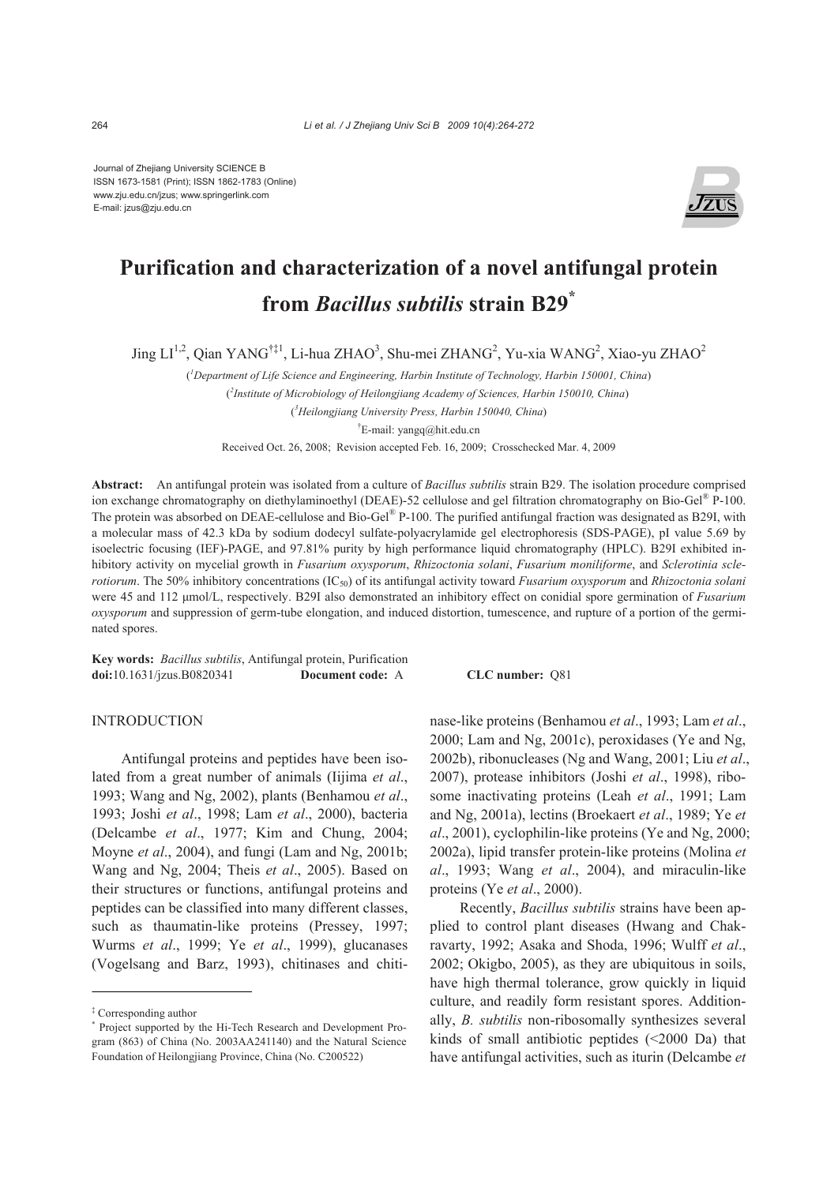Journal of Zhejiang University SCIENCE B ISSN 1673-1581 (Print); ISSN 1862-1783 (Online) www.zju.edu.cn/jzus; www.springerlink.com E-mail: jzus@zju.edu.cn



# **Purification and characterization of a novel antifungal protein from** *Bacillus subtilis* **strain B29\***

Jing LI<sup>1,2</sup>, Qian YANG<sup>†‡1</sup>, Li-hua ZHAO<sup>3</sup>, Shu-mei ZHANG<sup>2</sup>, Yu-xia WANG<sup>2</sup>, Xiao-yu ZHAO<sup>2</sup>

( *1 Department of Life Science and Engineering, Harbin Institute of Technology, Harbin 150001, China*) ( *2 Institute of Microbiology of Heilongjiang Academy of Sciences, Harbin 150010, China*) ( *3 Heilongjiang University Press, Harbin 150040, China*)

† E-mail: yangq@hit.edu.cn

Received Oct. 26, 2008; Revision accepted Feb. 16, 2009; Crosschecked Mar. 4, 2009

**Abstract:** An antifungal protein was isolated from a culture of *Bacillus subtilis* strain B29. The isolation procedure comprised ion exchange chromatography on diethylaminoethyl (DEAE)-52 cellulose and gel filtration chromatography on Bio-Gel® P-100. The protein was absorbed on DEAE-cellulose and Bio-Gel® P-100. The purified antifungal fraction was designated as B29I, with a molecular mass of 42.3 kDa by sodium dodecyl sulfate-polyacrylamide gel electrophoresis (SDS-PAGE), pI value 5.69 by isoelectric focusing (IEF)-PAGE, and 97.81% purity by high performance liquid chromatography (HPLC). B29I exhibited inhibitory activity on mycelial growth in *Fusarium oxysporum*, *Rhizoctonia solani*, *Fusarium moniliforme*, and *Sclerotinia sclerotiorum*. The 50% inhibitory concentrations (IC<sub>50</sub>) of its antifungal activity toward *Fusarium oxysporum* and *Rhizoctonia solani* were 45 and 112 μmol/L, respectively. B29I also demonstrated an inhibitory effect on conidial spore germination of *Fusarium oxysporum* and suppression of germ-tube elongation, and induced distortion, tumescence, and rupture of a portion of the germinated spores.

**Key words:** *Bacillus subtilis*, Antifungal protein, Purification **doi:**10.1631/jzus.B0820341 **Document code:** A **CLC number:** Q81

## INTRODUCTION

Antifungal proteins and peptides have been isolated from a great number of animals (Iijima *et al*., 1993; Wang and Ng, 2002), plants (Benhamou *et al*., 1993; Joshi *et al*., 1998; Lam *et al*., 2000), bacteria (Delcambe *et al*., 1977; Kim and Chung, 2004; Moyne *et al*., 2004), and fungi (Lam and Ng, 2001b; Wang and Ng, 2004; Theis *et al*., 2005). Based on their structures or functions, antifungal proteins and peptides can be classified into many different classes, such as thaumatin-like proteins (Pressey, 1997; Wurms *et al*., 1999; Ye *et al*., 1999), glucanases (Vogelsang and Barz, 1993), chitinases and chitinase-like proteins (Benhamou *et al*., 1993; Lam *et al*., 2000; Lam and Ng, 2001c), peroxidases (Ye and Ng, 2002b), ribonucleases (Ng and Wang, 2001; Liu *et al*., 2007), protease inhibitors (Joshi *et al*., 1998), ribosome inactivating proteins (Leah *et al*., 1991; Lam and Ng, 2001a), lectins (Broekaert *et al*., 1989; Ye *et al*., 2001), cyclophilin-like proteins (Ye and Ng, 2000; 2002a), lipid transfer protein-like proteins (Molina *et al*., 1993; Wang *et al*., 2004), and miraculin-like proteins (Ye *et al*., 2000).

Recently, *Bacillus subtilis* strains have been applied to control plant diseases (Hwang and Chakravarty, 1992; Asaka and Shoda, 1996; Wulff *et al*., 2002; Okigbo, 2005), as they are ubiquitous in soils, have high thermal tolerance, grow quickly in liquid culture, and readily form resistant spores. Additionally, *B. subtilis* non-ribosomally synthesizes several kinds of small antibiotic peptides (<2000 Da) that have antifungal activities, such as iturin (Delcambe *et* 

<sup>‡</sup> Corresponding author

<sup>\*</sup> Project supported by the Hi-Tech Research and Development Program (863) of China (No. 2003AA241140) and the Natural Science Foundation of Heilongjiang Province, China (No. C200522)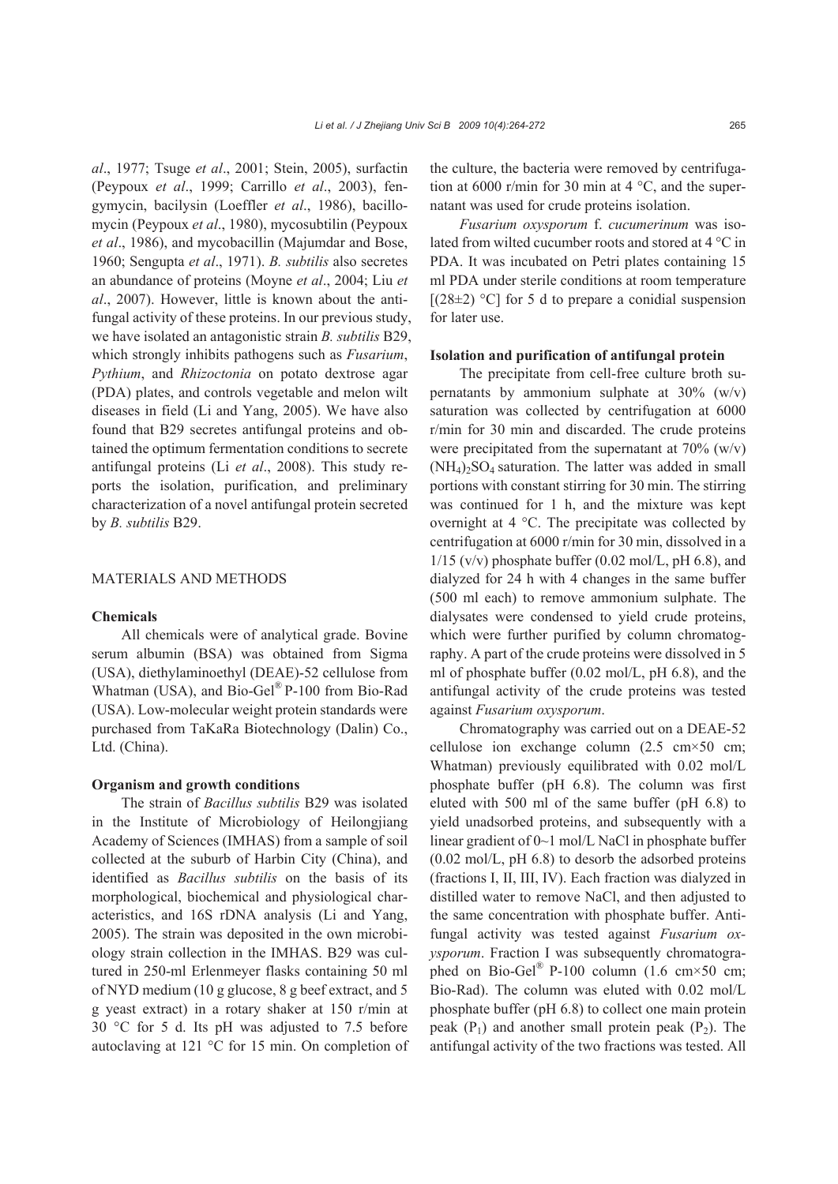*al*., 1977; Tsuge *et al*., 2001; Stein, 2005), surfactin (Peypoux *et al*., 1999; Carrillo *et al*., 2003), fengymycin, bacilysin (Loeffler *et al*., 1986), bacillomycin (Peypoux *et al*., 1980), mycosubtilin (Peypoux *et al*., 1986), and mycobacillin (Majumdar and Bose, 1960; Sengupta *et al*., 1971). *B. subtilis* also secretes an abundance of proteins (Moyne *et al*., 2004; Liu *et al*., 2007). However, little is known about the antifungal activity of these proteins. In our previous study, we have isolated an antagonistic strain *B. subtilis* B29, which strongly inhibits pathogens such as *Fusarium*, *Pythium*, and *Rhizoctonia* on potato dextrose agar (PDA) plates, and controls vegetable and melon wilt diseases in field (Li and Yang, 2005). We have also found that B29 secretes antifungal proteins and obtained the optimum fermentation conditions to secrete antifungal proteins (Li *et al*., 2008). This study reports the isolation, purification, and preliminary characterization of a novel antifungal protein secreted

## MATERIALS AND METHODS

## **Chemicals**

by *B. subtilis* B29.

All chemicals were of analytical grade. Bovine serum albumin (BSA) was obtained from Sigma (USA), diethylaminoethyl (DEAE)-52 cellulose from Whatman (USA), and Bio-Gel® P-100 from Bio-Rad (USA). Low-molecular weight protein standards were purchased from TaKaRa Biotechnology (Dalin) Co., Ltd. (China).

#### **Organism and growth conditions**

The strain of *Bacillus subtilis* B29 was isolated in the Institute of Microbiology of Heilongjiang Academy of Sciences (IMHAS) from a sample of soil collected at the suburb of Harbin City (China), and identified as *Bacillus subtilis* on the basis of its morphological, biochemical and physiological characteristics, and 16S rDNA analysis (Li and Yang, 2005). The strain was deposited in the own microbiology strain collection in the IMHAS. B29 was cultured in 250-ml Erlenmeyer flasks containing 50 ml of NYD medium (10 g glucose, 8 g beef extract, and 5 g yeast extract) in a rotary shaker at 150 r/min at 30 °C for 5 d. Its pH was adjusted to 7.5 before autoclaving at 121 °C for 15 min. On completion of the culture, the bacteria were removed by centrifugation at 6000 r/min for 30 min at 4  $^{\circ}$ C, and the supernatant was used for crude proteins isolation.

*Fusarium oxysporum* f. *cucumerinum* was isolated from wilted cucumber roots and stored at 4 °C in PDA. It was incubated on Petri plates containing 15 ml PDA under sterile conditions at room temperature  $[(28\pm2)$  °C] for 5 d to prepare a conidial suspension for later use.

#### **Isolation and purification of antifungal protein**

The precipitate from cell-free culture broth supernatants by ammonium sulphate at  $30\%$  (w/v) saturation was collected by centrifugation at 6000 r/min for 30 min and discarded. The crude proteins were precipitated from the supernatant at  $70\%$  (w/v)  $(NH_4)_2SO_4$  saturation. The latter was added in small portions with constant stirring for 30 min. The stirring was continued for 1 h, and the mixture was kept overnight at 4 °C. The precipitate was collected by centrifugation at 6000 r/min for 30 min, dissolved in a  $1/15$  (v/v) phosphate buffer (0.02 mol/L, pH 6.8), and dialyzed for 24 h with 4 changes in the same buffer (500 ml each) to remove ammonium sulphate. The dialysates were condensed to yield crude proteins, which were further purified by column chromatography. A part of the crude proteins were dissolved in 5 ml of phosphate buffer (0.02 mol/L, pH 6.8), and the antifungal activity of the crude proteins was tested against *Fusarium oxysporum*.

Chromatography was carried out on a DEAE-52 cellulose ion exchange column (2.5 cm×50 cm; Whatman) previously equilibrated with 0.02 mol/L phosphate buffer (pH 6.8). The column was first eluted with 500 ml of the same buffer (pH 6.8) to yield unadsorbed proteins, and subsequently with a linear gradient of 0~1 mol/L NaCl in phosphate buffer  $(0.02 \text{ mol/L}, \text{pH } 6.8)$  to desorb the adsorbed proteins (fractions I, II, III, IV). Each fraction was dialyzed in distilled water to remove NaCl, and then adjusted to the same concentration with phosphate buffer. Antifungal activity was tested against *Fusarium oxysporum*. Fraction I was subsequently chromatographed on Bio-Gel<sup>®</sup> P-100 column (1.6 cm×50 cm; Bio-Rad). The column was eluted with 0.02 mol/L phosphate buffer (pH 6.8) to collect one main protein peak  $(P_1)$  and another small protein peak  $(P_2)$ . The antifungal activity of the two fractions was tested. All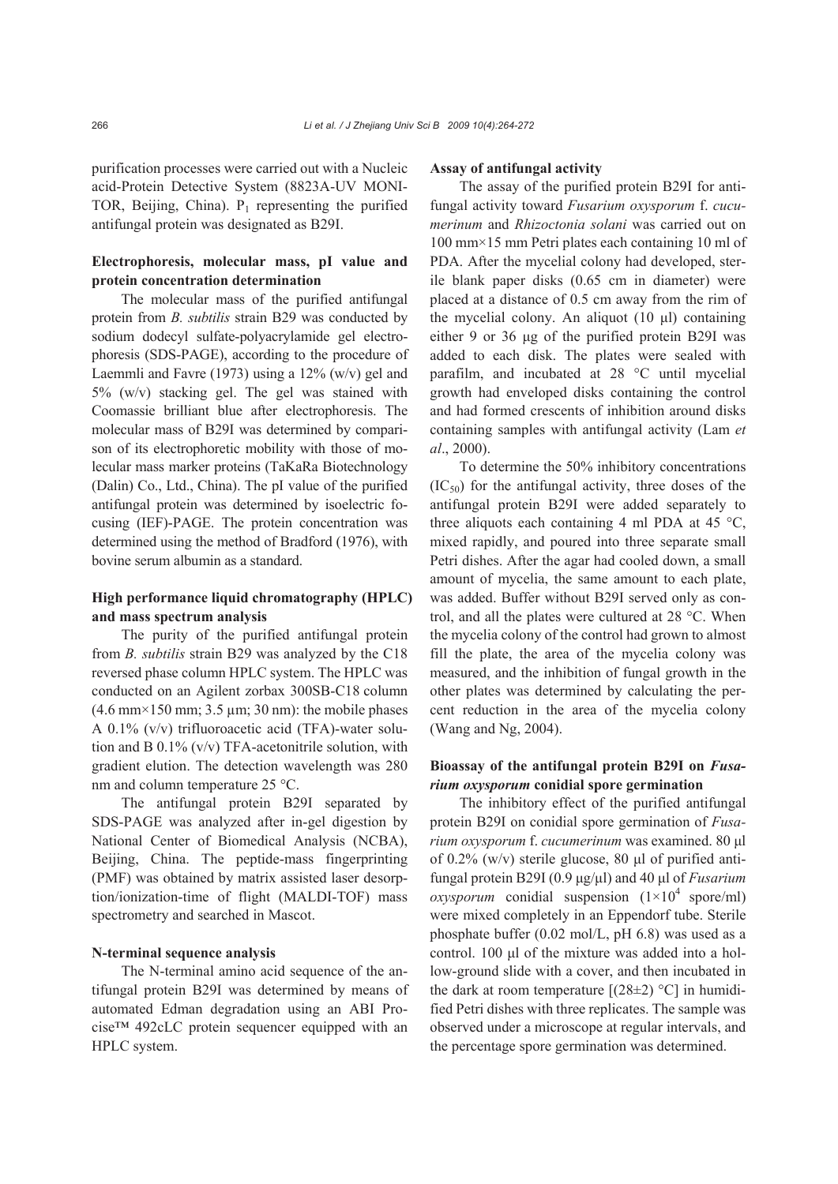purification processes were carried out with a Nucleic acid-Protein Detective System (8823A-UV MONI-TOR, Beijing, China).  $P_1$  representing the purified antifungal protein was designated as B29I.

# **Electrophoresis, molecular mass, pI value and protein concentration determination**

The molecular mass of the purified antifungal protein from *B. subtilis* strain B29 was conducted by sodium dodecyl sulfate-polyacrylamide gel electrophoresis (SDS-PAGE), according to the procedure of Laemmli and Favre (1973) using a 12% (w/v) gel and 5% (w/v) stacking gel. The gel was stained with Coomassie brilliant blue after electrophoresis. The molecular mass of B29I was determined by comparison of its electrophoretic mobility with those of molecular mass marker proteins (TaKaRa Biotechnology (Dalin) Co., Ltd., China). The pI value of the purified antifungal protein was determined by isoelectric focusing (IEF)-PAGE. The protein concentration was determined using the method of Bradford (1976), with bovine serum albumin as a standard.

## **High performance liquid chromatography (HPLC) and mass spectrum analysis**

The purity of the purified antifungal protein from *B. subtilis* strain B29 was analyzed by the C18 reversed phase column HPLC system. The HPLC was conducted on an Agilent zorbax 300SB-C18 column  $(4.6 \text{ mm} \times 150 \text{ mm}; 3.5 \text{ µm}; 30 \text{ nm})$ : the mobile phases A 0.1% (v/v) trifluoroacetic acid (TFA)-water solution and B 0.1% (v/v) TFA-acetonitrile solution, with gradient elution. The detection wavelength was 280 nm and column temperature 25 °C.

The antifungal protein B29I separated by SDS-PAGE was analyzed after in-gel digestion by National Center of Biomedical Analysis (NCBA), Beijing, China. The peptide-mass fingerprinting (PMF) was obtained by matrix assisted laser desorption/ionization-time of flight (MALDI-TOF) mass spectrometry and searched in Mascot.

## **N-terminal sequence analysis**

The N-terminal amino acid sequence of the antifungal protein B29I was determined by means of automated Edman degradation using an ABI Procise™ 492cLC protein sequencer equipped with an HPLC system.

#### **Assay of antifungal activity**

The assay of the purified protein B29I for antifungal activity toward *Fusarium oxysporum* f. *cucumerinum* and *Rhizoctonia solani* was carried out on 100 mm×15 mm Petri plates each containing 10 ml of PDA. After the mycelial colony had developed, sterile blank paper disks (0.65 cm in diameter) were placed at a distance of 0.5 cm away from the rim of the mycelial colony. An aliquot (10 μl) containing either 9 or 36 μg of the purified protein B29I was added to each disk. The plates were sealed with parafilm, and incubated at 28 °C until mycelial growth had enveloped disks containing the control and had formed crescents of inhibition around disks containing samples with antifungal activity (Lam *et al*., 2000).

To determine the 50% inhibitory concentrations  $(IC_{50})$  for the antifungal activity, three doses of the antifungal protein B29I were added separately to three aliquots each containing 4 ml PDA at 45  $^{\circ}$ C, mixed rapidly, and poured into three separate small Petri dishes. After the agar had cooled down, a small amount of mycelia, the same amount to each plate, was added. Buffer without B29I served only as control, and all the plates were cultured at 28 °C. When the mycelia colony of the control had grown to almost fill the plate, the area of the mycelia colony was measured, and the inhibition of fungal growth in the other plates was determined by calculating the percent reduction in the area of the mycelia colony (Wang and Ng, 2004).

# **Bioassay of the antifungal protein B29I on** *Fusarium oxysporum* **conidial spore germination**

The inhibitory effect of the purified antifungal protein B29I on conidial spore germination of *Fusarium oxysporum* f. *cucumerinum* was examined. 80 μl of 0.2% (w/v) sterile glucose, 80 μl of purified antifungal protein B29I (0.9 μg/μl) and 40 μl of *Fusarium oxysporum* conidial suspension  $(1\times10^4 \text{ spore/ml})$ were mixed completely in an Eppendorf tube. Sterile phosphate buffer (0.02 mol/L, pH 6.8) was used as a control. 100 μl of the mixture was added into a hollow-ground slide with a cover, and then incubated in the dark at room temperature  $[(28 \pm 2)$  °C] in humidified Petri dishes with three replicates. The sample was observed under a microscope at regular intervals, and the percentage spore germination was determined.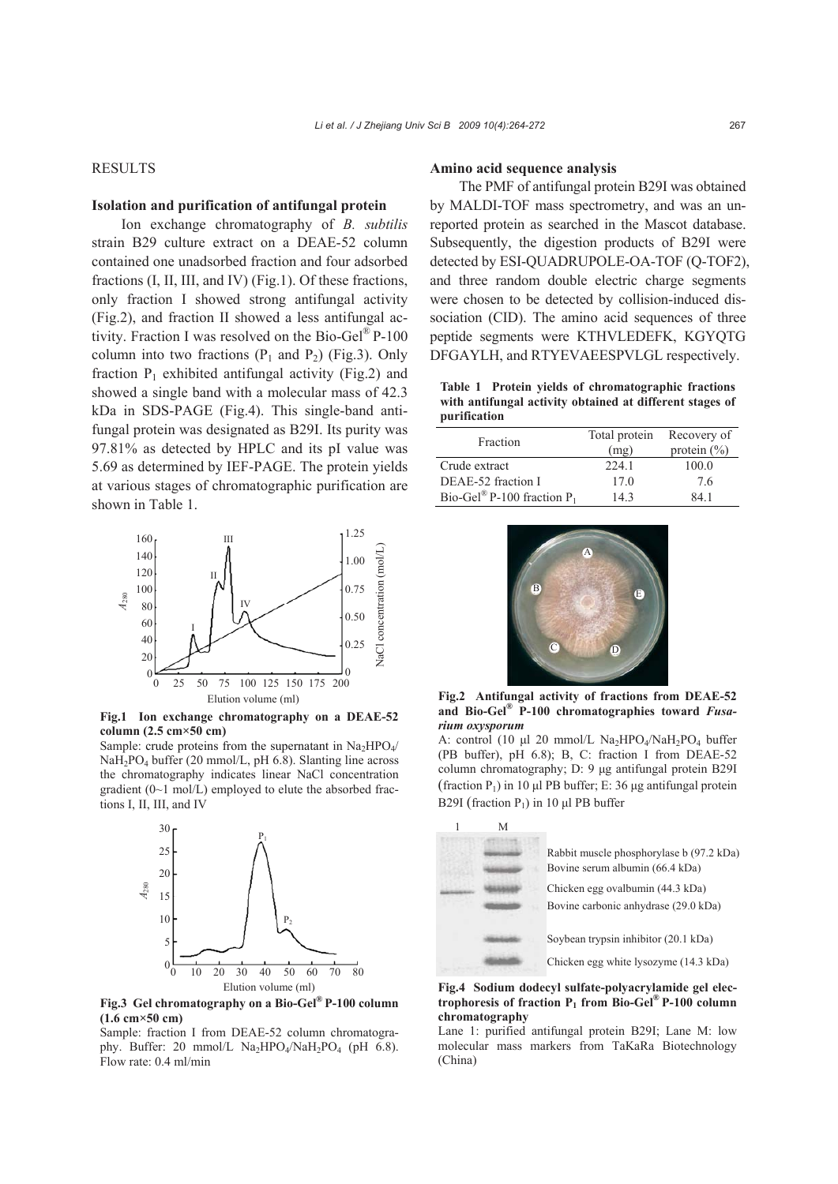## RESULTS

## **Isolation and purification of antifungal protein**

Ion exchange chromatography of *B. subtilis* strain B29 culture extract on a DEAE-52 column contained one unadsorbed fraction and four adsorbed fractions (I, II, III, and IV) (Fig.1). Of these fractions, only fraction I showed strong antifungal activity (Fig.2), and fraction II showed a less antifungal activity. Fraction I was resolved on the Bio-Gel<sup>®</sup> P-100 column into two fractions  $(P_1$  and  $P_2)$  (Fig.3). Only fraction  $P_1$  exhibited antifungal activity (Fig.2) and showed a single band with a molecular mass of 42.3 kDa in SDS-PAGE (Fig.4). This single-band antifungal protein was designated as B29I. Its purity was 97.81% as detected by HPLC and its pI value was 5.69 as determined by IEF-PAGE. The protein yields at various stages of chromatographic purification are shown in Table 1.



**Fig.1 Ion exchange chromatography on a DEAE-52 column (2.5 cm×50 cm)** 

Sample: crude proteins from the supernatant in  $Na<sub>2</sub>HPO<sub>4</sub>/$ NaH<sub>2</sub>PO<sub>4</sub> buffer (20 mmol/L, pH 6.8). Slanting line across the chromatography indicates linear NaCl concentration gradient (0~1 mol/L) employed to elute the absorbed fractions I, II, III, and IV



**Fig.3 Gel chromatography on a Bio-Gel® P-100 column (1.6 cm×50 cm)**

Sample: fraction I from DEAE-52 column chromatography. Buffer: 20 mmol/L  $Na<sub>2</sub>HPO<sub>4</sub>/NaH<sub>2</sub>PO<sub>4</sub>$  (pH 6.8). Flow rate: 0.4 ml/min

#### **Amino acid sequence analysis**

The PMF of antifungal protein B29I was obtained by MALDI-TOF mass spectrometry, and was an unreported protein as searched in the Mascot database. Subsequently, the digestion products of B29I were detected by ESI-QUADRUPOLE-OA-TOF (Q-TOF2), and three random double electric charge segments were chosen to be detected by collision-induced dissociation (CID). The amino acid sequences of three peptide segments were KTHVLEDEFK, KGYQTG DFGAYLH, and RTYEVAEESPVLGL respectively.

**Table 1 Protein yields of chromatographic fractions with antifungal activity obtained at different stages of purification**

| Fraction                                  | Total protein<br>(mg) | Recovery of<br>protein $(\% )$ |
|-------------------------------------------|-----------------------|--------------------------------|
| Crude extract                             | 224.1                 | 100.0                          |
| DEAE-52 fraction I                        | 17.0                  | 76                             |
| Bio-Gel <sup>®</sup> P-100 fraction $P_1$ | 143                   | 84 1                           |



**Fig.2 Antifungal activity of fractions from DEAE-52 and Bio-Gel® P-100 chromatographies toward** *Fusarium oxysporum*

A: control (10 μl 20 mmol/L Na<sub>2</sub>HPO<sub>4</sub>/NaH<sub>2</sub>PO<sub>4</sub> buffer (PB buffer), pH 6.8); B, C: fraction I from DEAE-52 column chromatography; D: 9 μg antifungal protein B29I (fraction  $P_1$ ) in 10 μl PB buffer; E: 36 μg antifungal protein B29I (fraction  $P_1$ ) in 10 μl PB buffer



**Fig.4 Sodium dodecyl sulfate-polyacrylamide gel electrophoresis of fraction P1 from Bio-Gel® P-100 column chromatography** 

Lane 1: purified antifungal protein B29I; Lane M: low molecular mass markers from TaKaRa Biotechnology (China)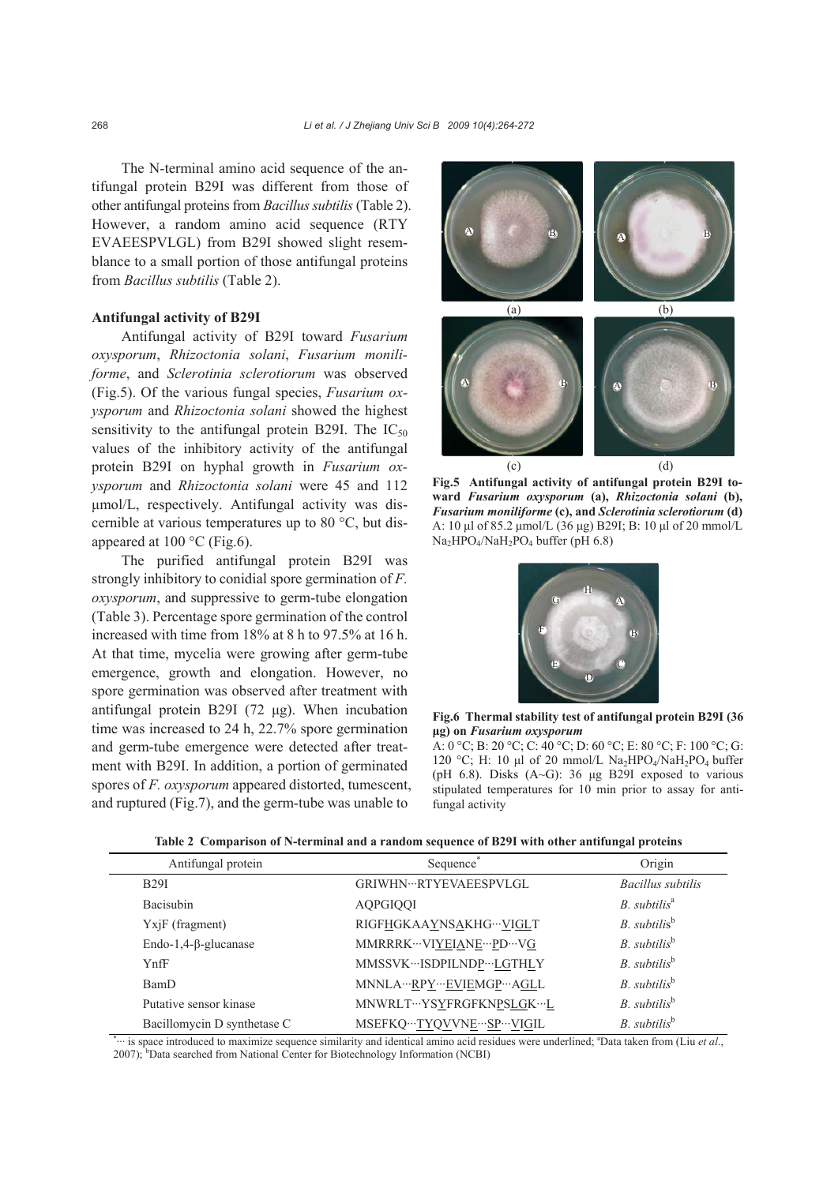The N-terminal amino acid sequence of the antifungal protein B29I was different from those of other antifungal proteins from *Bacillus subtilis* (Table 2). However, a random amino acid sequence (RTY EVAEESPVLGL) from B29I showed slight resemblance to a small portion of those antifungal proteins from *Bacillus subtilis* (Table 2).

## **Antifungal activity of B29I**

Antifungal activity of B29I toward *Fusarium oxysporum*, *Rhizoctonia solani*, *Fusarium moniliforme*, and *Sclerotinia sclerotiorum* was observed (Fig.5). Of the various fungal species, *Fusarium oxysporum* and *Rhizoctonia solani* showed the highest sensitivity to the antifungal protein B29I. The  $IC_{50}$ values of the inhibitory activity of the antifungal protein B29I on hyphal growth in *Fusarium oxysporum* and *Rhizoctonia solani* were 45 and 112 μmol/L, respectively. Antifungal activity was discernible at various temperatures up to 80 °C, but disappeared at  $100^{\circ}$ C (Fig.6).

The purified antifungal protein B29I was strongly inhibitory to conidial spore germination of *F. oxysporum*, and suppressive to germ-tube elongation (Table 3). Percentage spore germination of the control increased with time from 18% at 8 h to 97.5% at 16 h. At that time, mycelia were growing after germ-tube emergence, growth and elongation. However, no spore germination was observed after treatment with antifungal protein B29I (72 μg). When incubation time was increased to 24 h, 22.7% spore germination and germ-tube emergence were detected after treatment with B29I. In addition, a portion of germinated spores of *F. oxysporum* appeared distorted, tumescent, and ruptured (Fig.7), and the germ-tube was unable to



**Fig.5 Antifungal activity of antifungal protein B29I toward** *Fusarium oxysporum* **(a),** *Rhizoctonia solani* **(b),**  *Fusarium moniliforme* **(c), and** *Sclerotinia sclerotiorum* **(d)** A: 10 μl of 85.2 μmol/L (36 μg) B29I; B: 10 μl of 20 mmol/L Na<sub>2</sub>HPO<sub>4</sub>/NaH<sub>2</sub>PO<sub>4</sub> buffer (pH 6.8)



**Fig.6 Thermal stability test of antifungal protein B29I (36 μg) on** *Fusarium oxysporum* 

A: 0 °C; B: 20 °C; C: 40 °C; D: 60 °C; E: 80 °C; F: 100 °C; G: 120 °C; H: 10 μl of 20 mmol/L Na<sub>2</sub>HPO<sub>4</sub>/NaH<sub>2</sub>PO<sub>4</sub> buffer (pH 6.8). Disks (A~G): 36 μg B29I exposed to various stipulated temperatures for 10 min prior to assay for antifungal activity

| Antifungal protein                         | Sequence <sup>®</sup>             | Origin                     |
|--------------------------------------------|-----------------------------------|----------------------------|
| <b>B29I</b>                                | GRIWHN…RTYEVAEESPVLGL             | Bacillus subtilis          |
| Bacisubin                                  | <b>AOPGIOOI</b>                   | $B.$ subtilis <sup>a</sup> |
| $Yx$ <sup>[<math>F</math></sup> (fragment) | RIGFHGKAAYNSAKHG…VIGLT            | B. subtilis <sup>b</sup>   |
| Endo-1,4- $\beta$ -glucanase               | MMRRRK ··· VIYEIANE ··· PD ··· VG | $B.$ subtilis <sup>b</sup> |
| YnfF                                       | MMSSVK…ISDPILNDP…LGTHLY           | $B.$ subtilis <sup>b</sup> |
| BamD                                       | MNNLA···RPY···EVIEMGP···AGLL      | $B.$ subtilis <sup>b</sup> |
| Putative sensor kinase                     | MNWRLT…YSYFRGFKNPSLGK…L           | $B.$ subtilis <sup>b</sup> |
| Bacillomycin D synthetase C                | MSEFKQ…TYQVVNE…SP…VIGIL           | $B.$ subtilis <sup>b</sup> |

|  |  |  | Table 2 Comparison of N-terminal and a random sequence of B29I with other antifungal proteins |  |
|--|--|--|-----------------------------------------------------------------------------------------------|--|
|  |  |  |                                                                                               |  |

\* ··· is space introduced to maximize sequence similarity and identical amino acid residues were underlined; a Data taken from (Liu *et al*., 2007); <sup>b</sup>Data searched from National Center for Biotechnology Information (NCBI)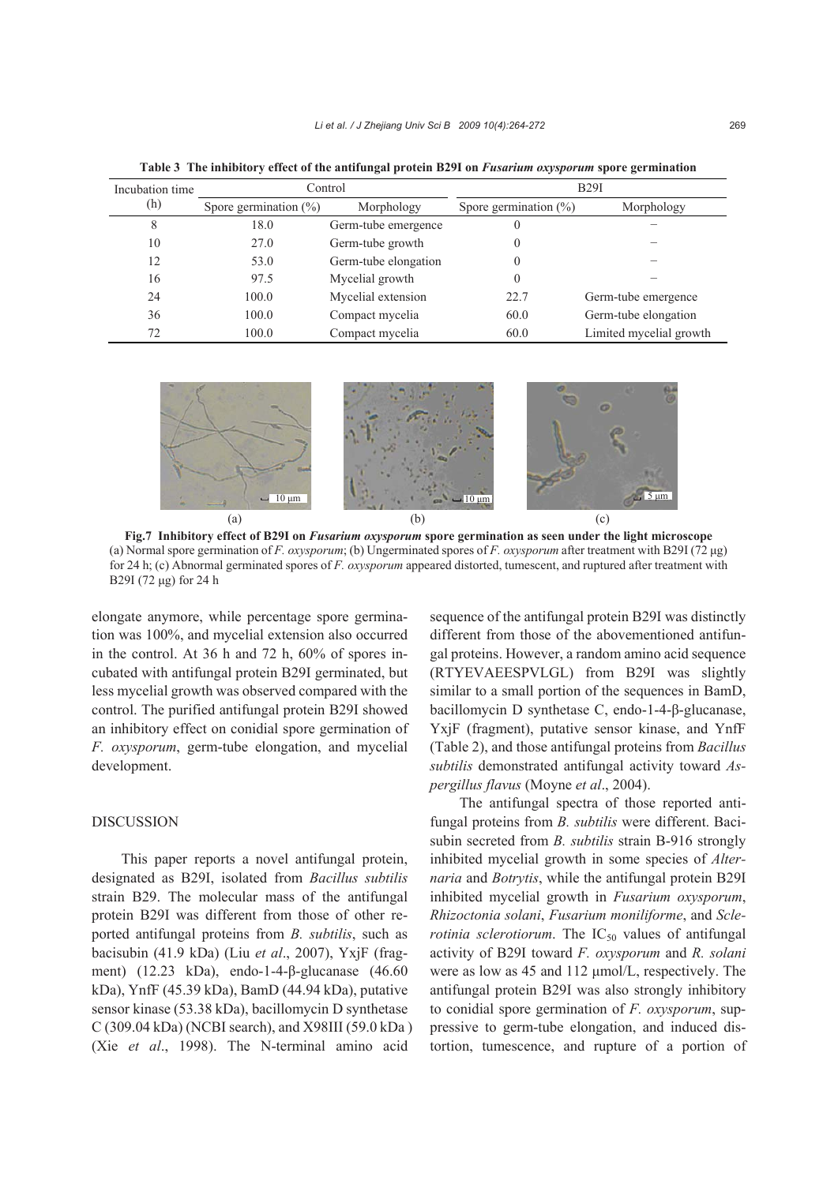| Incubation time | Control                  |                      | B29I                     |                         |
|-----------------|--------------------------|----------------------|--------------------------|-------------------------|
| (h)             | Spore germination $(\%)$ | Morphology           | Spore germination $(\%)$ | Morphology              |
| 8               | 18.0                     | Germ-tube emergence  |                          |                         |
| 10              | 27.0                     | Germ-tube growth     |                          |                         |
| 12              | 53.0                     | Germ-tube elongation |                          |                         |
| 16              | 97.5                     | Mycelial growth      |                          |                         |
| 24              | 100.0                    | Mycelial extension   | 22.7                     | Germ-tube emergence     |
| 36              | 100.0                    | Compact mycelia      | 60.0                     | Germ-tube elongation    |
| 72              | 100.0                    | Compact mycelia      | 60.0                     | Limited mycelial growth |

**Table 3 The inhibitory effect of the antifungal protein B29I on** *Fusarium oxysporum* **spore germination**



**Fig.7 Inhibitory effect of B29I on** *Fusarium oxysporum* **spore germination as seen under the light microscope**  (a) Normal spore germination of *F. oxysporum*; (b) Ungerminated spores of *F. oxysporum* after treatment with B29I (72 μg) for 24 h; (c) Abnormal germinated spores of *F. oxysporum* appeared distorted, tumescent, and ruptured after treatment with B29I (72 μg) for 24 h

elongate anymore, while percentage spore germination was 100%, and mycelial extension also occurred in the control. At 36 h and 72 h, 60% of spores incubated with antifungal protein B29I germinated, but less mycelial growth was observed compared with the control. The purified antifungal protein B29I showed an inhibitory effect on conidial spore germination of *F. oxysporum*, germ-tube elongation, and mycelial development.

# DISCUSSION

This paper reports a novel antifungal protein, designated as B29I, isolated from *Bacillus subtilis* strain B29. The molecular mass of the antifungal protein B29I was different from those of other reported antifungal proteins from *B. subtilis*, such as bacisubin (41.9 kDa) (Liu *et al*., 2007), YxjF (fragment) (12.23 kDa), endo-1-4-β-glucanase (46.60 kDa), YnfF (45.39 kDa), BamD (44.94 kDa), putative sensor kinase (53.38 kDa), bacillomycin D synthetase C (309.04 kDa) (NCBI search), and X98III (59.0 kDa ) (Xie *et al*., 1998). The N-terminal amino acid

sequence of the antifungal protein B29I was distinctly different from those of the abovementioned antifungal proteins. However, a random amino acid sequence (RTYEVAEESPVLGL) from B29I was slightly similar to a small portion of the sequences in BamD, bacillomycin D synthetase C, endo-1-4-β-glucanase, YxjF (fragment), putative sensor kinase, and YnfF (Table 2), and those antifungal proteins from *Bacillus subtilis* demonstrated antifungal activity toward *Aspergillus flavus* (Moyne *et al*., 2004).

The antifungal spectra of those reported antifungal proteins from *B. subtilis* were different. Bacisubin secreted from *B. subtilis* strain B-916 strongly inhibited mycelial growth in some species of *Alternaria* and *Botrytis*, while the antifungal protein B29I inhibited mycelial growth in *Fusarium oxysporum*, *Rhizoctonia solani*, *Fusarium moniliforme*, and *Sclerotinia sclerotiorum*. The  $IC_{50}$  values of antifungal activity of B29I toward *F. oxysporum* and *R. solani* were as low as 45 and 112 μmol/L, respectively. The antifungal protein B29I was also strongly inhibitory to conidial spore germination of *F. oxysporum*, suppressive to germ-tube elongation, and induced distortion, tumescence, and rupture of a portion of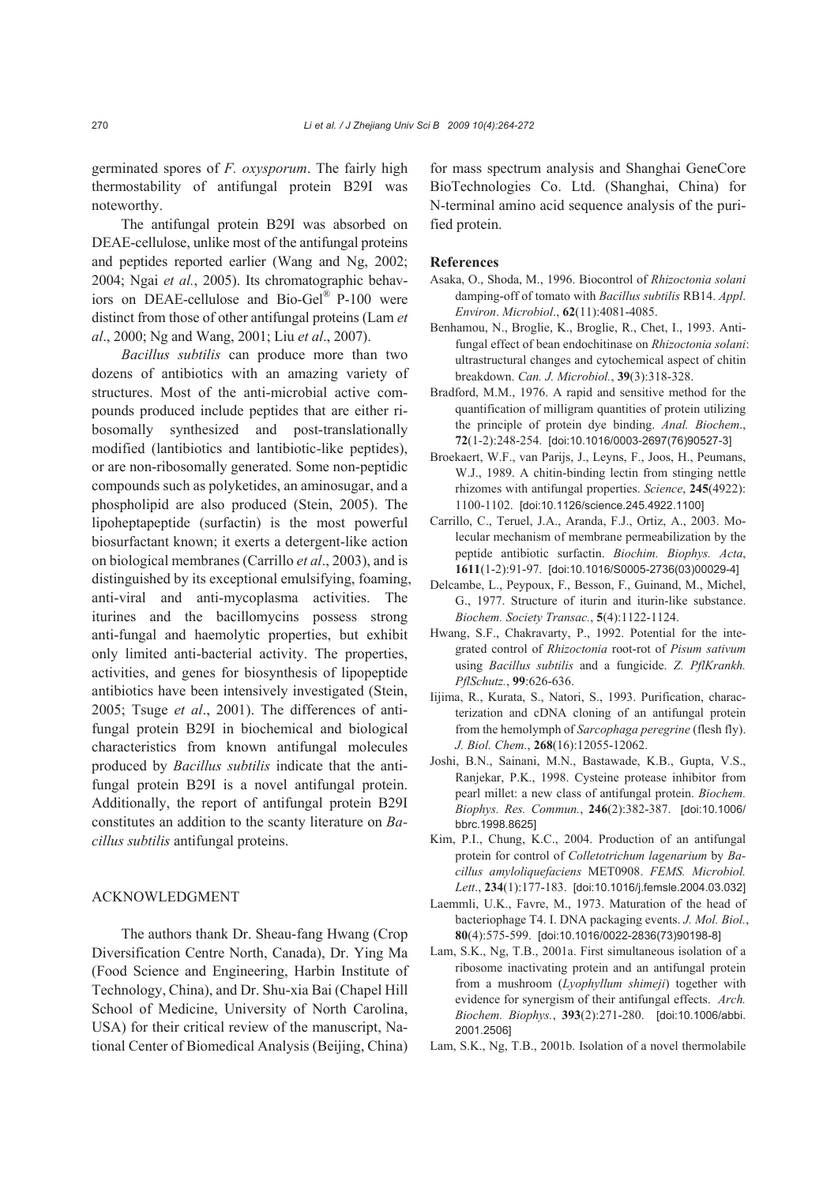germinated spores of *F. oxysporum*. The fairly high thermostability of antifungal protein B29I was noteworthy.

The antifungal protein B29I was absorbed on DEAE-cellulose, unlike most of the antifungal proteins and peptides reported earlier (Wang and Ng, 2002; 2004; Ngai *et al.*, 2005). Its chromatographic behaviors on DEAE-cellulose and Bio-Gel® P-100 were distinct from those of other antifungal proteins (Lam *et al*., 2000; Ng and Wang, 2001; Liu *et al*., 2007).

*Bacillus subtilis* can produce more than two dozens of antibiotics with an amazing variety of structures. Most of the anti-microbial active compounds produced include peptides that are either ribosomally synthesized and post-translationally modified (lantibiotics and lantibiotic-like peptides), or are non-ribosomally generated. Some non-peptidic compounds such as polyketides, an aminosugar, and a phospholipid are also produced (Stein, 2005). The lipoheptapeptide (surfactin) is the most powerful biosurfactant known; it exerts a detergent-like action on biological membranes (Carrillo *et al*., 2003), and is distinguished by its exceptional emulsifying, foaming, anti-viral and anti-mycoplasma activities. The iturines and the bacillomycins possess strong anti-fungal and haemolytic properties, but exhibit only limited anti-bacterial activity. The properties, activities, and genes for biosynthesis of lipopeptide antibiotics have been intensively investigated (Stein, 2005; Tsuge *et al*., 2001). The differences of antifungal protein B29I in biochemical and biological characteristics from known antifungal molecules produced by *Bacillus subtilis* indicate that the antifungal protein B29I is a novel antifungal protein. Additionally, the report of antifungal protein B29I constitutes an addition to the scanty literature on *Bacillus subtilis* antifungal proteins.

#### ACKNOWLEDGMENT

The authors thank Dr. Sheau-fang Hwang (Crop Diversification Centre North, Canada), Dr. Ying Ma (Food Science and Engineering, Harbin Institute of Technology, China), and Dr. Shu-xia Bai (Chapel Hill School of Medicine, University of North Carolina, USA) for their critical review of the manuscript, National Center of Biomedical Analysis (Beijing, China) for mass spectrum analysis and Shanghai GeneCore BioTechnologies Co. Ltd. (Shanghai, China) for N-terminal amino acid sequence analysis of the purified protein.

#### **References**

- Asaka, O., Shoda, M., 1996. Biocontrol of *Rhizoctonia solani*  damping-off of tomato with *Bacillus subtilis* RB14. *Appl*. *Environ*. *Microbiol*., **62**(11):4081-4085.
- Benhamou, N., Broglie, K., Broglie, R., Chet, I., 1993. Antifungal effect of bean endochitinase on *Rhizoctonia solani*: ultrastructural changes and cytochemical aspect of chitin breakdown. *Can. J. Microbiol.*, **39**(3):318-328.
- Bradford, M.M., 1976. A rapid and sensitive method for the quantification of milligram quantities of protein utilizing the principle of protein dye binding. *Anal. Biochem*., **72**(1-2):248-254. [doi:10.1016/0003-2697(76)90527-3]
- Broekaert, W.F., van Parijs, J., Leyns, F., Joos, H., Peumans, W.J., 1989. A chitin-binding lectin from stinging nettle rhizomes with antifungal properties. *Science*, **245**(4922): 1100-1102. [doi:10.1126/science.245.4922.1100]
- Carrillo, C., Teruel, J.A., Aranda, F.J., Ortiz, A., 2003. Molecular mechanism of membrane permeabilization by the peptide antibiotic surfactin. *Biochim. Biophys. Acta*, **1611**(1-2):91-97. [doi:10.1016/S0005-2736(03)00029-4]
- Delcambe, L., Peypoux, F., Besson, F., Guinand, M., Michel, G., 1977. Structure of iturin and iturin-like substance. *Biochem. Society Transac.*, **5**(4):1122-1124.
- Hwang, S.F., Chakravarty, P., 1992. Potential for the integrated control of *Rhizoctonia* root-rot of *Pisum sativum*  using *Bacillus subtilis* and a fungicide. *Z. PflKrankh. PflSchutz.*, **99**:626-636.
- Iijima, R., Kurata, S., Natori, S., 1993. Purification, characterization and cDNA cloning of an antifungal protein from the hemolymph of *Sarcophaga peregrine* (flesh fly). *J. Biol. Chem.*, **268**(16):12055-12062.
- Joshi, B.N., Sainani, M.N., Bastawade, K.B., Gupta, V.S., Ranjekar, P.K., 1998. Cysteine protease inhibitor from pearl millet: a new class of antifungal protein. *Biochem. Biophys. Res. Commun.*, **246**(2):382-387. [doi:10.1006/ bbrc.1998.8625]
- Kim, P.I., Chung, K.C., 2004. Production of an antifungal protein for control of *Colletotrichum lagenarium* by *Bacillus amyloliquefaciens* MET0908. *FEMS. Microbiol. Lett*., **234**(1):177-183. [doi:10.1016/j.femsle.2004.03.032]
- Laemmli, U.K., Favre, M., 1973. Maturation of the head of bacteriophage T4. I. DNA packaging events. *J. Mol. Biol.*, **80**(4):575-599. [doi:10.1016/0022-2836(73)90198-8]
- Lam, S.K., Ng, T.B., 2001a. First simultaneous isolation of a ribosome inactivating protein and an antifungal protein from a mushroom (*Lyophyllum shimeji*) together with evidence for synergism of their antifungal effects. *Arch. Biochem. Biophys.*, **393**(2):271-280. [doi:10.1006/abbi. 2001.2506]
- Lam, S.K., Ng, T.B., 2001b. Isolation of a novel thermolabile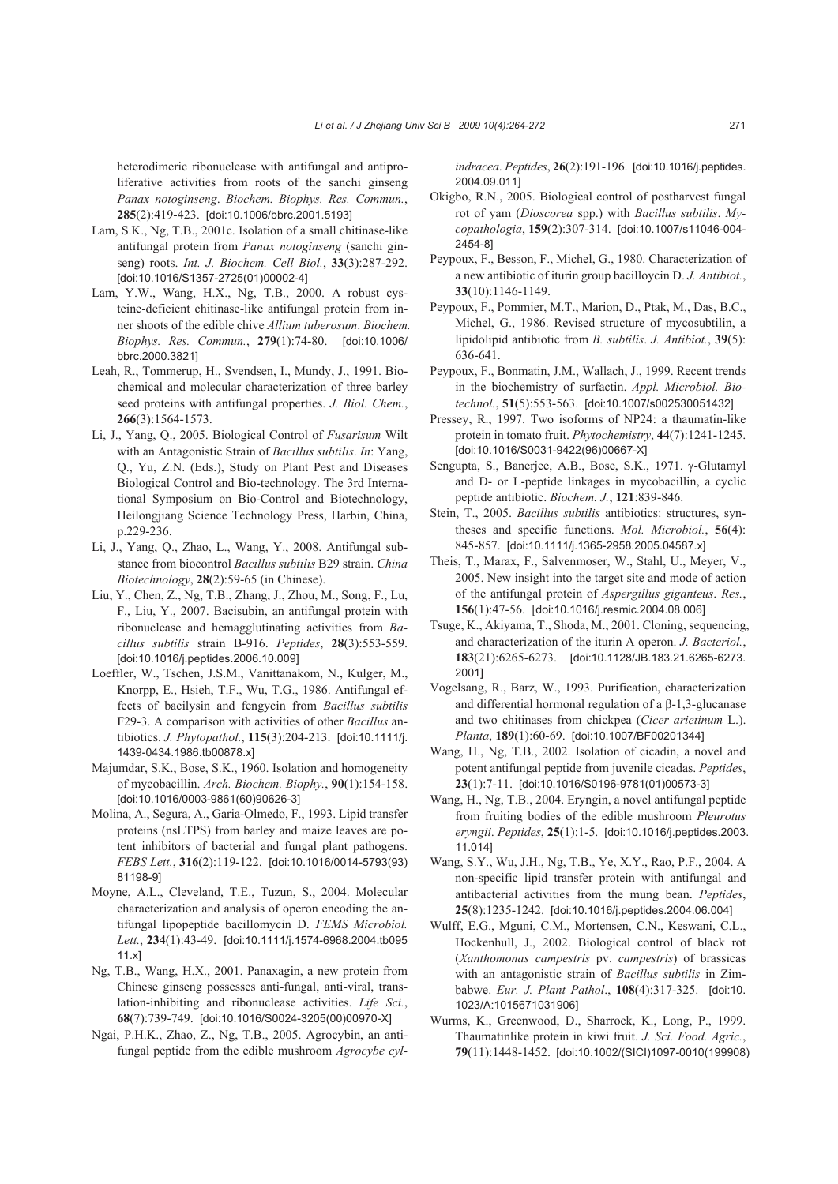heterodimeric ribonuclease with antifungal and antiproliferative activities from roots of the sanchi ginseng *Panax notoginseng*. *Biochem. Biophys. Res. Commun.*, **285**(2):419-423. [doi:10.1006/bbrc.2001.5193]

- Lam, S.K., Ng, T.B., 2001c. Isolation of a small chitinase-like antifungal protein from *Panax notoginseng* (sanchi ginseng) roots. *Int. J. Biochem. Cell Biol.*, **33**(3):287-292. [doi:10.1016/S1357-2725(01)00002-4]
- Lam, Y.W., Wang, H.X., Ng, T.B., 2000. A robust cysteine-deficient chitinase-like antifungal protein from inner shoots of the edible chive *Allium tuberosum*. *Biochem. Biophys. Res. Commun.*, **279**(1):74-80. [doi:10.1006/ bbrc.2000.3821]
- Leah, R., Tommerup, H., Svendsen, I., Mundy, J., 1991. Biochemical and molecular characterization of three barley seed proteins with antifungal properties. *J. Biol. Chem.*, **266**(3):1564-1573.
- Li, J., Yang, Q., 2005. Biological Control of *Fusarisum* Wilt with an Antagonistic Strain of *Bacillus subtilis*. *In*: Yang, Q., Yu, Z.N. (Eds.), Study on Plant Pest and Diseases Biological Control and Bio-technology. The 3rd International Symposium on Bio-Control and Biotechnology, Heilongjiang Science Technology Press, Harbin, China, p.229-236.
- Li, J., Yang, Q., Zhao, L., Wang, Y., 2008. Antifungal substance from biocontrol *Bacillus subtilis* B29 strain. *China Biotechnology*, **28**(2):59-65 (in Chinese).
- Liu, Y., Chen, Z., Ng, T.B., Zhang, J., Zhou, M., Song, F., Lu, F., Liu, Y., 2007. Bacisubin, an antifungal protein with ribonuclease and hemagglutinating activities from *Bacillus subtilis* strain B-916. *Peptides*, **28**(3):553-559. [doi:10.1016/j.peptides.2006.10.009]
- Loeffler, W., Tschen, J.S.M., Vanittanakom, N., Kulger, M., Knorpp, E., Hsieh, T.F., Wu, T.G., 1986. Antifungal effects of bacilysin and fengycin from *Bacillus subtilis*  F29-3. A comparison with activities of other *Bacillus* antibiotics. *J. Phytopathol.*, **115**(3):204-213. [doi:10.1111/j. 1439-0434.1986.tb00878.x]
- Majumdar, S.K., Bose, S.K., 1960. Isolation and homogeneity of mycobacillin. *Arch. Biochem. Biophy.*, **90**(1):154-158. [doi:10.1016/0003-9861(60)90626-3]
- Molina, A., Segura, A., Garia-Olmedo, F., 1993. Lipid transfer proteins (nsLTPS) from barley and maize leaves are potent inhibitors of bacterial and fungal plant pathogens. *FEBS Lett.*, **316**(2):119-122. [doi:10.1016/0014-5793(93) 81198-9]
- Moyne, A.L., Cleveland, T.E., Tuzun, S., 2004. Molecular characterization and analysis of operon encoding the antifungal lipopeptide bacillomycin D. *FEMS Microbiol. Lett.*, **234**(1):43-49. [doi:10.1111/j.1574-6968.2004.tb095 11.x]
- Ng, T.B., Wang, H.X., 2001. Panaxagin, a new protein from Chinese ginseng possesses anti-fungal, anti-viral, translation-inhibiting and ribonuclease activities. *Life Sci.*, **68**(7):739-749. [doi:10.1016/S0024-3205(00)00970-X]
- Ngai, P.H.K., Zhao, Z., Ng, T.B., 2005. Agrocybin, an antifungal peptide from the edible mushroom *Agrocybe cyl-*

*indracea*. *Peptides*, **26**(2):191-196. [doi:10.1016/j.peptides. 2004.09.011]

- Okigbo, R.N., 2005. Biological control of postharvest fungal rot of yam (*Dioscorea* spp.) with *Bacillus subtilis*. *Mycopathologia*, **159**(2):307-314. [doi:10.1007/s11046-004- 2454-8]
- Peypoux, F., Besson, F., Michel, G., 1980. Characterization of a new antibiotic of iturin group bacilloycin D. *J. Antibiot.*, **33**(10):1146-1149.
- Peypoux, F., Pommier, M.T., Marion, D., Ptak, M., Das, B.C., Michel, G., 1986. Revised structure of mycosubtilin, a lipidolipid antibiotic from *B. subtilis*. *J. Antibiot.*, **39**(5): 636-641.
- Peypoux, F., Bonmatin, J.M., Wallach, J., 1999. Recent trends in the biochemistry of surfactin. *Appl. Microbiol. Biotechnol.*, **51**(5):553-563. [doi:10.1007/s002530051432]
- Pressey, R., 1997. Two isoforms of NP24: a thaumatin-like protein in tomato fruit. *Phytochemistry*, **44**(7):1241-1245. [doi:10.1016/S0031-9422(96)00667-X]
- Sengupta, S., Banerjee, A.B., Bose, S.K., 1971. γ-Glutamyl and D- or L-peptide linkages in mycobacillin, a cyclic peptide antibiotic. *Biochem. J.*, **121**:839-846.
- Stein, T., 2005. *Bacillus subtilis* antibiotics: structures, syntheses and specific functions. *Mol. Microbiol.*, **56**(4): 845-857. [doi:10.1111/j.1365-2958.2005.04587.x]
- Theis, T., Marax, F., Salvenmoser, W., Stahl, U., Meyer, V., 2005. New insight into the target site and mode of action of the antifungal protein of *Aspergillus giganteus*. *Res.*, **156**(1):47-56. [doi:10.1016/j.resmic.2004.08.006]
- Tsuge, K., Akiyama, T., Shoda, M., 2001. Cloning, sequencing, and characterization of the iturin A operon. *J. Bacteriol.*, **183**(21):6265-6273. [doi:10.1128/JB.183.21.6265-6273. 2001]
- Vogelsang, R., Barz, W., 1993. Purification, characterization and differential hormonal regulation of a β-1,3-glucanase and two chitinases from chickpea (*Cicer arietinum* L.). *Planta*, **189**(1):60-69. [doi:10.1007/BF00201344]
- Wang, H., Ng, T.B., 2002. Isolation of cicadin, a novel and potent antifungal peptide from juvenile cicadas. *Peptides*, **23**(1):7-11. [doi:10.1016/S0196-9781(01)00573-3]
- Wang, H., Ng, T.B., 2004. Eryngin, a novel antifungal peptide from fruiting bodies of the edible mushroom *Pleurotus eryngii*. *Peptides*, **25**(1):1-5. [doi:10.1016/j.peptides.2003. 11.014]
- Wang, S.Y., Wu, J.H., Ng, T.B., Ye, X.Y., Rao, P.F., 2004. A non-specific lipid transfer protein with antifungal and antibacterial activities from the mung bean. *Peptides*, **25**(8):1235-1242. [doi:10.1016/j.peptides.2004.06.004]
- Wulff, E.G., Mguni, C.M., Mortensen, C.N., Keswani, C.L., Hockenhull, J., 2002. Biological control of black rot (*Xanthomonas campestris* pv. *campestris*) of brassicas with an antagonistic strain of *Bacillus subtilis* in Zimbabwe. *Eur. J. Plant Pathol*., **108**(4):317-325. [doi:10. 1023/A:1015671031906]
- Wurms, K., Greenwood, D., Sharrock, K., Long, P., 1999. Thaumatinlike protein in kiwi fruit. *J. Sci. Food. Agric.*, **79**(11):1448-1452. [doi:10.1002/(SICI)1097-0010(199908)